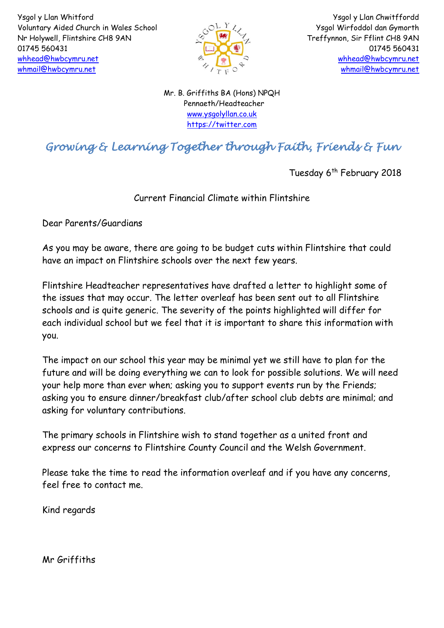

Ysgol y Llan Chwitffordd Ysgol Wirfoddol dan Gymorth Treffynnon, Sir Fflint CH8 9AN 01745 560431 [whhead@hwbcymru.net](mailto:Head.WhitfordCP@flintshire.gov.uk) [whmail@hwbcymru.net](mailto:whmail@hwbcymru.net)

Mr. B. Griffiths BA (Hons) NPQH Pennaeth/Headteacher [www.ysgolyllan.co.uk](http://www.ysgolyllan.co.uk/) [https://twitter.com](https://twitter.com/)

# *Growing & Learning Together through Faith, Friends & Fun*

Tuesday 6<sup>th</sup> February 2018

# Current Financial Climate within Flintshire

Dear Parents/Guardians

As you may be aware, there are going to be budget cuts within Flintshire that could have an impact on Flintshire schools over the next few years.

Flintshire Headteacher representatives have drafted a letter to highlight some of the issues that may occur. The letter overleaf has been sent out to all Flintshire schools and is quite generic. The severity of the points highlighted will differ for each individual school but we feel that it is important to share this information with you.

The impact on our school this year may be minimal yet we still have to plan for the future and will be doing everything we can to look for possible solutions. We will need your help more than ever when; asking you to support events run by the Friends; asking you to ensure dinner/breakfast club/after school club debts are minimal; and asking for voluntary contributions.

The primary schools in Flintshire wish to stand together as a united front and express our concerns to Flintshire County Council and the Welsh Government.

Please take the time to read the information overleaf and if you have any concerns, feel free to contact me.

Kind regards

Mr Griffiths